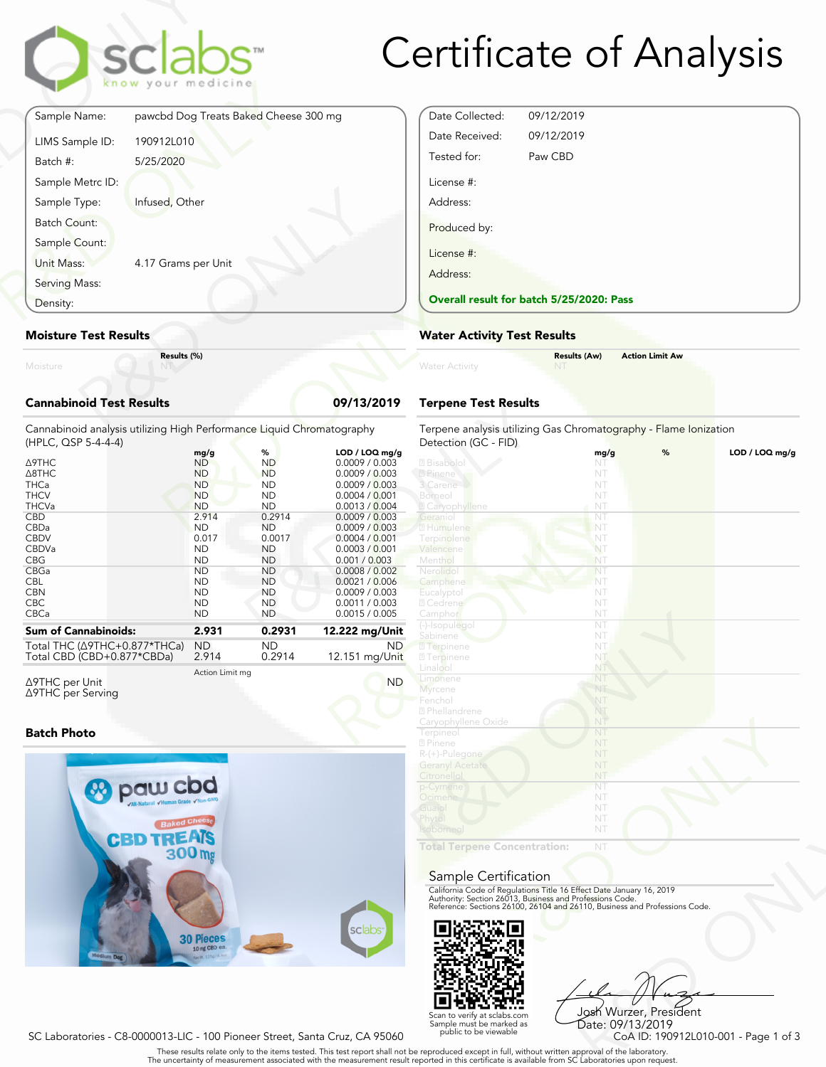

## Certificate of Analysis

|                                 | sclabs <sup>®</sup><br>know your medicine |            |
|---------------------------------|-------------------------------------------|------------|
| Sample Name:                    | pawcbd Dog Treats Baked Cheese 300 mg     |            |
| LIMS Sample ID:                 | 190912L010                                |            |
| Batch #:                        | 5/25/2020                                 |            |
| Sample Metrc ID:                |                                           |            |
| Sample Type:                    | Infused, Other                            |            |
| Batch Count:                    |                                           |            |
| Sample Count:                   |                                           |            |
| Unit Mass:                      | 4.17 Grams per Unit                       |            |
| Serving Mass:                   |                                           |            |
| Density:                        |                                           |            |
| <b>Moisture Test Results</b>    |                                           |            |
| Moisture                        | Results (%)                               |            |
| <b>Cannabinoid Test Results</b> |                                           | 09/13/2019 |

#### **Moisture Test Results**

#### **Cannabinoid Test Results 09/13/2019**

| Density:                                                                                     | <b>Overall result for batc</b> |                        |                                  |                                                    |
|----------------------------------------------------------------------------------------------|--------------------------------|------------------------|----------------------------------|----------------------------------------------------|
| <b>Moisture Test Results</b>                                                                 | <b>Water Activity Test R</b>   |                        |                                  |                                                    |
| Results (%)<br>Moisture                                                                      |                                |                        |                                  | <b>Water Activity</b>                              |
| <b>Cannabinoid Test Results</b>                                                              |                                |                        | 09/13/2019                       | <b>Terpene Test Results</b>                        |
| Cannabinoid analysis utilizing High Performance Liquid Chromatography<br>(HPLC, QSP 5-4-4-4) |                                |                        |                                  | Terpene analysis utilizing<br>Detection (GC - FID) |
|                                                                                              | mg/g                           | %                      | LOD / LOQ mg/g                   |                                                    |
| Δ9THC                                                                                        | <b>ND</b>                      | <b>ND</b>              | 0.0009 / 0.003                   | 2 Bisabolol                                        |
| A8THC                                                                                        | <b>ND</b>                      | <b>ND</b>              | 0.0009 / 0.003                   | 2 Pinene                                           |
| <b>THCa</b>                                                                                  | <b>ND</b>                      | <b>ND</b>              | 0.0009 / 0.003                   | 3 Carene                                           |
| <b>THCV</b>                                                                                  | <b>ND</b>                      | <b>ND</b>              | 0.0004 / 0.001                   | Borneol                                            |
| <b>THCVa</b>                                                                                 | <b>ND</b>                      | <b>ND</b>              | 0.0013 / 0.004                   | <b>Z</b> Caryophyllene                             |
| <b>CBD</b>                                                                                   | 2.914                          | 0.2914                 | 0.0009 / 0.003                   | Geranio                                            |
| CBDa                                                                                         | <b>ND</b>                      | <b>ND</b>              | 0.0009 / 0.003                   | 2 Humulene                                         |
| <b>CBDV</b>                                                                                  | 0.017                          | 0.0017                 | 0.0004 / 0.001                   | Terpinolene                                        |
| CBDVa                                                                                        | <b>ND</b>                      | <b>ND</b>              | 0.0003 / 0.001                   | Valencene                                          |
| <b>CBG</b>                                                                                   | <b>ND</b>                      | <b>ND</b>              | 0.001 / 0.003                    | Menthol                                            |
| CBGa<br><b>CBL</b>                                                                           | <b>ND</b><br><b>ND</b>         | <b>ND</b><br><b>ND</b> | 0.0008 / 0.002<br>0.0021 / 0.006 | Nerolidol                                          |
| <b>CBN</b>                                                                                   | <b>ND</b>                      | <b>ND</b>              | 0.0009 / 0.003                   | Camphene                                           |
| <b>CBC</b>                                                                                   | <b>ND</b>                      | <b>ND</b>              | 0.0011 / 0.003                   | <b>Eucalyptol</b><br>2 Cedrene                     |
| CBCa                                                                                         | <b>ND</b>                      | <b>ND</b>              | 0.0015 / 0.005                   | Camphor                                            |
|                                                                                              |                                |                        |                                  | (-)-Isopulegol                                     |
| <b>Sum of Cannabinoids:</b>                                                                  | 2.931                          | 0.2931                 | 12.222 mg/Unit                   | Sabinene                                           |
| Total THC (∆9THC+0.877*THCa)                                                                 | <b>ND</b>                      | <b>ND</b>              | ND.                              | 2 Terpinene                                        |
| Total CBD (CBD+0.877*CBDa)                                                                   | 2.914                          | 0.2914                 | 12.151 mg/Unit                   | <b>27</b> Terpinene                                |
|                                                                                              |                                |                        |                                  | Linalool                                           |
|                                                                                              | Action Limit mg                |                        |                                  |                                                    |

Δ9THC per Unit Δ9THC per Serving

#### **Batch Photo**



| Date Collected: | 09/12/2019                               |  |
|-----------------|------------------------------------------|--|
| Date Received:  | 09/12/2019                               |  |
| Tested for:     | Paw CBD                                  |  |
| License #:      |                                          |  |
| Address:        |                                          |  |
| Produced by:    |                                          |  |
| License #:      |                                          |  |
| Address:        |                                          |  |
|                 | Overall result for batch 5/25/2020: Pass |  |

#### **Water Activity Test Results**

| Water Activity | <b>Results (Aw)</b><br><b>NT</b> | <b>Action Limit Aw</b> |  |
|----------------|----------------------------------|------------------------|--|
|                |                                  |                        |  |

#### **Terpene Test Results**

| atography           | Terpene analysis utilizing Gas Chromatography - Flame Ionization<br>Detection (GC - FID)                                               |      |   |                |
|---------------------|----------------------------------------------------------------------------------------------------------------------------------------|------|---|----------------|
| LOD / LOQ mg/g      |                                                                                                                                        | mg/g | % | LOD / LOQ mg/g |
| 0.0009 / 0.003      | 2 Bisabolol                                                                                                                            | NT   |   |                |
| 0.0009 / 0.003      | 2 Pinene                                                                                                                               | NT   |   |                |
| 0.0009 / 0.003      | 3 Carene                                                                                                                               | NT   |   |                |
| 0.0004 / 0.001      | Borneol                                                                                                                                | NT   |   |                |
| 0.0013 / 0.004      | 2 Caryophyllene                                                                                                                        | NT   |   |                |
| 0.0009 / 0.003      | Geraniol                                                                                                                               | NT   |   |                |
| 0.0009 / 0.003      | 2 Humulene                                                                                                                             | NT   |   |                |
| 0.0004 / 0.001      | Terpinolene                                                                                                                            | NT   |   |                |
| 0.0003 / 0.001      | Valencene                                                                                                                              | NT   |   |                |
| 0.001 / 0.003       | Menthol                                                                                                                                | NT   |   |                |
| 0.0008 / 0.002      | Nerolidol                                                                                                                              | NT   |   |                |
| 0.0021 / 0.006      | Camphene                                                                                                                               | NT   |   |                |
| 0.0009 / 0.003      | Eucalyptol                                                                                                                             | NT   |   |                |
| 0.0011 / 0.003      | 2 Cedrene                                                                                                                              | NT   |   |                |
| 0.0015 / 0.005      | Camphor                                                                                                                                | NT   |   |                |
|                     | (-)-Isopulegol                                                                                                                         | NT   |   |                |
| 2.222 mg/Unit       | Sabinene                                                                                                                               | NT   |   |                |
| ND.                 | <b>7</b> Terpinene                                                                                                                     | NT   |   |                |
| 12.151 mg/Unit      | <b>7</b> Terpinene                                                                                                                     | NT   |   |                |
|                     | Linalool                                                                                                                               | NT   |   |                |
| <b>ND</b>           | Limonene                                                                                                                               | NT   |   |                |
|                     | Myrcene                                                                                                                                | NT   |   |                |
|                     | Fenchol                                                                                                                                | NT   |   |                |
|                     | 2 Phellandrene                                                                                                                         | NT   |   |                |
|                     | Caryophyllene Oxide                                                                                                                    | NT   |   |                |
|                     | Terpineol                                                                                                                              | NT   |   |                |
|                     | 2 Pinene                                                                                                                               | NT   |   |                |
|                     | R-(+)-Pulegone                                                                                                                         | NT   |   |                |
|                     | <b>Geranyl Acetate</b>                                                                                                                 | NT   |   |                |
|                     | Citronellol                                                                                                                            | NT   |   |                |
|                     | p-Cymene                                                                                                                               | NT   |   |                |
|                     | Ocimene                                                                                                                                | NT   |   |                |
|                     | Guaiol                                                                                                                                 | NT   |   |                |
|                     | Phytol                                                                                                                                 | NT   |   |                |
|                     | <b>Isoborneo</b>                                                                                                                       | NT   |   |                |
|                     | <b>Total Terpene Concentration:</b>                                                                                                    | NT   |   |                |
|                     |                                                                                                                                        |      |   |                |
|                     |                                                                                                                                        |      |   |                |
|                     | Sample Certification                                                                                                                   |      |   |                |
|                     | California Code of Regulations Title 16 Effect Date January 16, 2019                                                                   |      |   |                |
|                     | Authority: Section 26013, Business and Professions Code.<br>Reference: Sections 26100, 26104 and 26110, Business and Professions Code. |      |   |                |
|                     |                                                                                                                                        |      |   |                |
|                     |                                                                                                                                        |      |   |                |
| sclabs <sup>®</sup> |                                                                                                                                        |      |   |                |
|                     |                                                                                                                                        |      |   |                |
|                     |                                                                                                                                        |      |   |                |

#### Sample Certification



NT<br>
NT<br>
Fect Date January 16, 2019<br>
rofessions Code.<br>
9110, Business and Professions Code.<br>
9110, Business and Professions Code.<br>
Josh Wurzer, President<br>
Date: 09/13/2019<br>
CoA ID: 190912L010-001 - Page 1 of 3<br>
pproval of t Josh Wurzer, President Date: 09/13/2019<br>CoA ID: 190912L010-001 - Page 1 of 3

SC Laboratories - C8-0000013-LIC - 100 Pioneer Street, Santa Cruz, CA 95060

. These results relate only to the items tested. This test report shall not be reproduced except in full, without written approval of the laboratory.<br>The uncertainty of measurement associated with the measurement result re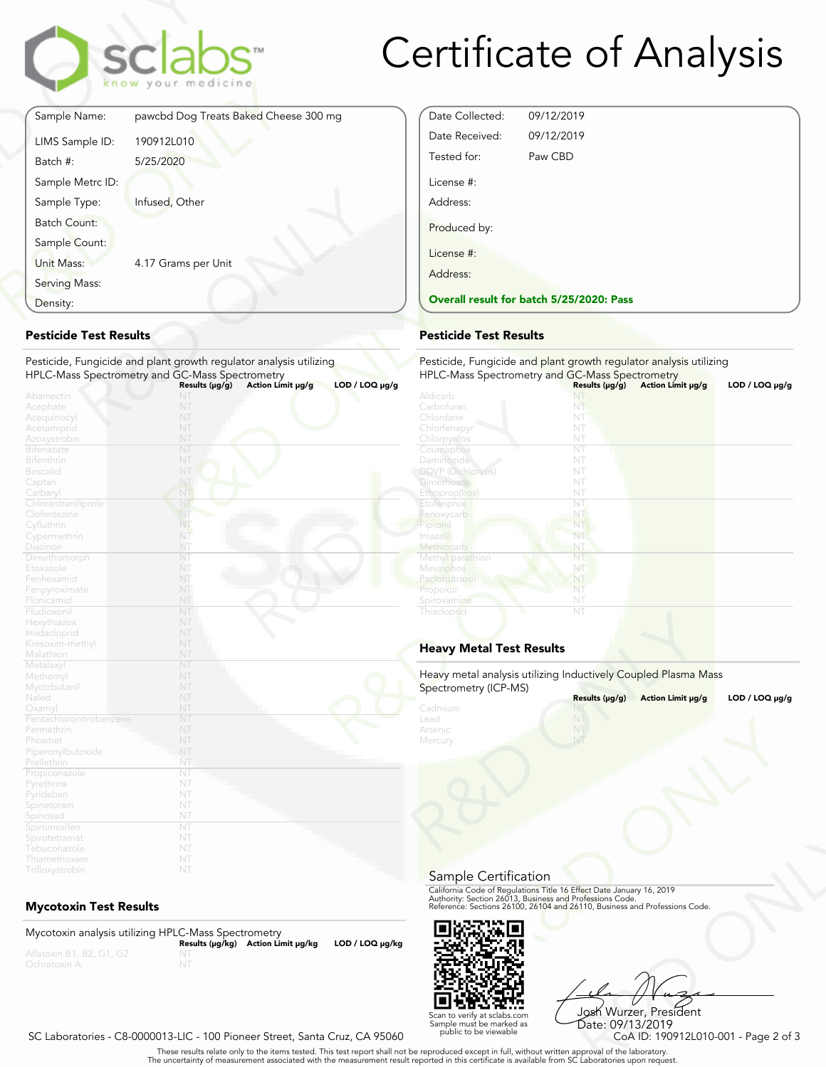

## Certificate of Analysis

| Sample Name:        |                                       |
|---------------------|---------------------------------------|
|                     | pawcbd Dog Treats Baked Cheese 300 mg |
| LIMS Sample ID:     | 190912L010                            |
| Batch #:            | 5/25/2020                             |
| Sample Metrc ID:    |                                       |
| Sample Type:        | Infused, Other                        |
| <b>Batch Count:</b> |                                       |
| Sample Count:       |                                       |
| Unit Mass:          | 4.17 Grams per Unit                   |
| Serving Mass:       |                                       |
| Density:            |                                       |

#### **Pesticide Test Results**

| Density:                          |                                                                    | <b>Overall result for batc</b> |
|-----------------------------------|--------------------------------------------------------------------|--------------------------------|
| <b>Pesticide Test Results</b>     | <b>Pesticide Test Results</b>                                      |                                |
|                                   | Pesticide, Fungicide and plant growth regulator analysis utilizing | Pesticide, Fungicide and       |
|                                   | HPLC-Mass Spectrometry and GC-Mass Spectrometry                    | <b>HPLC-Mass Spectrometry</b>  |
|                                   | $LOD / LOQ \mu g/g$<br>Action Limit µg/g<br>Results $(\mu g/g)$    |                                |
| Abamectin                         | NT                                                                 | Aldicarb                       |
| Acephate                          | NT                                                                 | Carbofuran                     |
| Acequinocyl                       | NT                                                                 | Chlordane                      |
| Acetamiprid                       | NT                                                                 | Chlorfenapyr                   |
| Azoxystrobin                      | NT                                                                 | Chlorpyrifos                   |
| <b>Bifenazate</b>                 | NT                                                                 | Coumaphos                      |
| <b>Bifenthrin</b>                 | NT                                                                 | Daminozide                     |
| <b>Boscalid</b>                   | NT                                                                 | <b>DDVP</b> (Dichlorvos)       |
| Captan                            | NT                                                                 | <b>Dimethoate</b>              |
| Carbaryl                          | NT                                                                 | Ethoprop(hos)                  |
| Chlorantraniliprole               | NT                                                                 | Etofenprox                     |
| Clofentezine                      | NT                                                                 | Fenoxycarb                     |
| Cyfluthrin                        | NT.                                                                | Fipronil                       |
| Cypermethrin                      | NT                                                                 | Imaza i                        |
| Diazinon                          | NT                                                                 | Methiocarb                     |
| Dimethomorph                      | NT                                                                 | Methyl parathion               |
| Etoxazole                         | NT                                                                 | Mevinphos                      |
| Fenhexamid                        | NT                                                                 | Paclobutrazo                   |
| Fenpyroximate                     | NT                                                                 | Propoxur                       |
| Flonicamid                        | NT                                                                 | Spiroxamine                    |
| Fludioxonil                       | NT                                                                 | Thiacloprid                    |
| Hexythiazox                       | NT                                                                 |                                |
| Imidacloprid                      | NT                                                                 |                                |
| Kresoxim-methyl                   | NT                                                                 | <b>Heavy Metal Test Res</b>    |
| Malathion                         | NT                                                                 |                                |
| Metalaxyl                         | NT                                                                 | Heavy metal analysis utiliz    |
| Methomyl                          | NT                                                                 |                                |
| Myclobutanil                      | NT                                                                 | Spectrometry (ICP-MS)          |
| Naled                             | NT                                                                 |                                |
| Oxamyl<br>Pentachloronitrobenzene | NT<br>NT                                                           | Cadmium<br>Lead                |
| Permethrin                        | NT                                                                 | Arsenic                        |
|                                   | NT                                                                 |                                |
| Phosmet                           | NT                                                                 | Mercury                        |
| Piperonylbutoxide                 | NT                                                                 |                                |
| Prallethrin                       | NT                                                                 |                                |
| Propiconazole                     | NT                                                                 |                                |
| Pyrethrins                        | NT                                                                 |                                |
| Pyridaben                         | NT                                                                 |                                |
| Spinetoram                        | NT                                                                 |                                |
| Spinosad                          | NT                                                                 |                                |
| Spiromesifen                      | NT                                                                 |                                |
| Spirotetramat                     | NT                                                                 |                                |
| Tebuconazole<br>Thiamethoxam      | NT                                                                 |                                |
|                                   |                                                                    |                                |
| Trifloxystrobin                   | NT                                                                 |                                |

#### **Mycotoxin Test Results**

Mycotoxin analysis utilizing HPLC-Mass Spectrometry **Results (μg/kg) Action Limit μg/kg LOD / LOQ μg/kg** NT



Frect Date January 16, 2019<br>
Trofessions Code.<br>
110, Business and Professions Code.<br>
110, Business and Professions Code.<br>
108 Wurzer, President<br>
Date: 09/13/2019<br>
CoA ID: 190912L010-001 - Page 2 of 3<br>
pproval of the labora Josh Wurzer, President Date: 09/13/2019<br>CoA ID: 190912L010-001 - Page 2 of 3

#### SC Laboratories - C8-0000013-LIC - 100 Pioneer Street, Santa Cruz, CA 95060

. These results relate only to the items tested. This test report shall not be reproduced except in full, without written approval of the laboratory.<br>The uncertainty of measurement associated with the measurement result re

#### **Pesticide Test Results**

Date Collected: 09/12/2019 Date Received: 09/12/2019

| ıg                  | Pesticide, Fungicide and plant growth regulator analysis utilizing |                |                   |                     |
|---------------------|--------------------------------------------------------------------|----------------|-------------------|---------------------|
| $LOD / LOQ \mu g/g$ | HPLC-Mass Spectrometry and GC-Mass Spectrometry                    | Results (µq/q) | Action Limit µq/q | $LOD / LOQ \mu g/g$ |
|                     | Aldicarb                                                           |                |                   |                     |
|                     | Carbofuran                                                         | NT             |                   |                     |
|                     | Chlordane                                                          | NT             |                   |                     |
|                     | Chlorfenapyr                                                       | NT             |                   |                     |
|                     | Chlorpyrifos                                                       | NT             |                   |                     |
|                     | Coumaphos                                                          | NT             |                   |                     |
|                     | Daminozide                                                         | NT             |                   |                     |
|                     | <b>DDVP</b> (Dichlorvos)                                           | NT             |                   |                     |
|                     | <b>Dimethoate</b>                                                  | NT             |                   |                     |
|                     | Ethoprop(hos)                                                      | NT             |                   |                     |
|                     | Etofenprox                                                         | NT             |                   |                     |
|                     | Fenoxycarb                                                         | NT             |                   |                     |
|                     | Fipronil                                                           | NT             |                   |                     |
|                     | Imazalil                                                           | NT             |                   |                     |
|                     | Methiocarb                                                         | NT             |                   |                     |
|                     | Methyl parathion                                                   | NT             |                   |                     |
|                     | Mevinphos                                                          | NT             |                   |                     |
|                     | Paclobutrazol                                                      | NT             |                   |                     |
|                     | Propoxur                                                           | NT             |                   |                     |
|                     | Spiroxamine                                                        | NT             |                   |                     |
|                     | Thiacloprid                                                        | NT             |                   |                     |
|                     |                                                                    |                |                   |                     |
|                     | <b>Heavy Metal Test Results</b>                                    |                |                   |                     |
|                     | Heavy metal analysis utilizing Inductively Coupled Plasma Mass     |                |                   |                     |
|                     | Spectrometry (ICP-MS)                                              |                |                   |                     |
|                     |                                                                    | Results (µg/g) | Action Limit µg/g | $LOD / LOQ \mu g/g$ |
|                     | Cadmium<br>Lead                                                    | NT             |                   |                     |
|                     |                                                                    |                |                   |                     |
|                     | Arsenic                                                            |                |                   |                     |
|                     | Mercury                                                            | NT             |                   |                     |

#### **Heavy Metal Test Results**

| Spectrometry (ICP-MS)                 | Heavy metal analysis utilizing Inductively Coupled Plasma Mass                                                                                                                                                 |                     |
|---------------------------------------|----------------------------------------------------------------------------------------------------------------------------------------------------------------------------------------------------------------|---------------------|
|                                       | Results (µg/g)<br>Action Limit µg/g                                                                                                                                                                            | LOD / LOQ $\mu$ g/g |
| Cadmium<br>Lead<br>Arsenic<br>Mercury | NT                                                                                                                                                                                                             |                     |
| Sample Certification                  |                                                                                                                                                                                                                |                     |
|                                       | California Code of Regulations Title 16 Effect Date January 16, 2019<br>Authority: Section 26013, Business and Professions Code.<br>Reference: Sections 26100, 26104 and 26110, Business and Professions Code. |                     |
|                                       |                                                                                                                                                                                                                |                     |

Scan to verify at sclabs.com Sample must be marked as public to be viewable